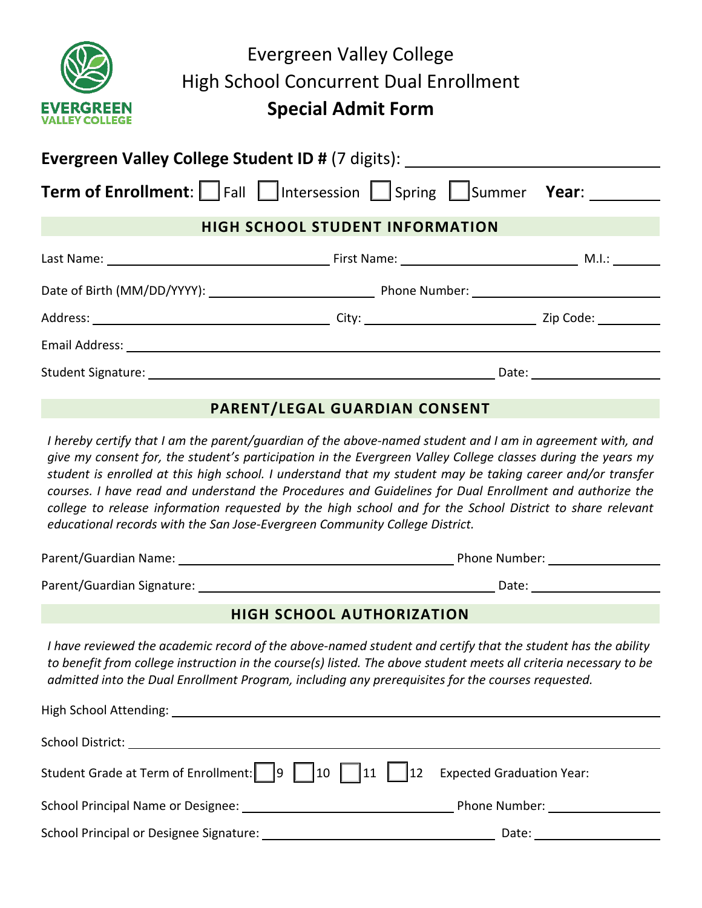| <b>EVERGREEN</b><br><b>VALLEY COLLEGE</b>                | Evergreen Valley College<br><b>High School Concurrent Dual Enrollment</b><br><b>Special Admit Form</b> |  |  |  |
|----------------------------------------------------------|--------------------------------------------------------------------------------------------------------|--|--|--|
| <b>Evergreen Valley College Student ID # (7 digits):</b> |                                                                                                        |  |  |  |
|                                                          | <b>Term of Enrollment:</b> Fall Intersession Spring Summer Year:                                       |  |  |  |
|                                                          | <b>HIGH SCHOOL STUDENT INFORMATION</b>                                                                 |  |  |  |

|  | M.I.: _______                                                                                                  |
|--|----------------------------------------------------------------------------------------------------------------|
|  |                                                                                                                |
|  | Zip Code: The Said Science of the Science of the Science of the Science of the Science of the Science of the S |
|  |                                                                                                                |
|  | Date:                                                                                                          |

## **PARENT/LEGAL GUARDIAN CONSENT**

*I hereby certify that I am the parent/guardian of the above-named student and I am in agreement with, and give my consent for, the student's participation in the Evergreen Valley College classes during the years my student is enrolled at this high school. I understand that my student may be taking career and/or transfer courses. I have read and understand the Procedures and Guidelines for Dual Enrollment and authorize the college to release information requested by the high school and for the School District to share relevant educational records with the San Jose-Evergreen Community College District.*

| Parent/Guardian Name:      | Phone Number: |  |  |
|----------------------------|---------------|--|--|
| Parent/Guardian Signature: | Date:         |  |  |

## **HIGH SCHOOL AUTHORIZATION**

*I have reviewed the academic record of the above-named student and certify that the student has the ability to benefit from college instruction in the course(s) listed. The above student meets all criteria necessary to be admitted into the Dual Enrollment Program, including any prerequisites for the courses requested.* 

| High School Attending: The Contract of the Contract of the Contract of the Contract of the Contract of the Contract of the Contract of the Contract of the Contract of the Contract of the Contract of the Contract of the Con |                                  |
|--------------------------------------------------------------------------------------------------------------------------------------------------------------------------------------------------------------------------------|----------------------------------|
| School District:                                                                                                                                                                                                               |                                  |
|                                                                                                                                                                                                                                |                                  |
| School Principal Name or Designee: Name of Designee:                                                                                                                                                                           | Phone Number: <u>___________</u> |
| School Principal or Designee Signature:                                                                                                                                                                                        | Date:                            |